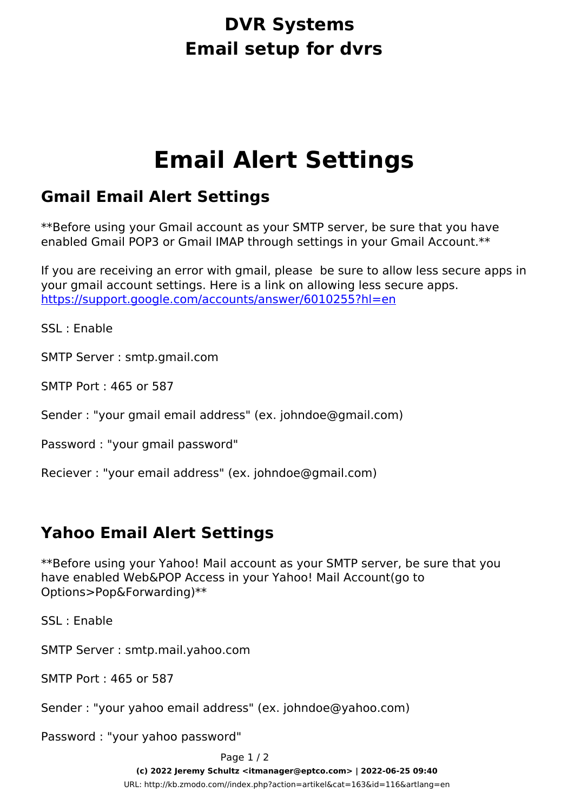## **DVR Systems Email setup for dvrs**

# **Email Alert Settings**

### **Gmail Email Alert Settings**

*\*\*Before using your Gmail account as your SMTP server, be sure that you have enabled Gmail POP3 or Gmail IMAP through settings in your Gmail Account.\*\**

*If you are receiving an error with gmail, please be sure to allow less secure apps in your gmail account settings. Here is a link on allowing less secure apps.*  [https://support.google.com/accounts/answer/6010255?hl=en](If%20you%20are%20receiving%20an%20error%20with%20gmail,%20please%20%20be%20sure%20to%20allow%20less%20secure%20apps%20in%20your%20gmail%20account%20settings.%20Here%20is%20a%20link%20on%20allowing%20less%20secure%20apps.%20https://support.google.com/accounts/answer/6010255?hl=en)

SSL : Enable

SMTP Server : smtp.gmail.com

SMTP Port : 465 or 587

Sender : "your gmail email address" (ex. johndoe@gmail.com)

Password : "your gmail password"

Reciever : "your email address" (ex. johndoe@gmail.com)

### **Yahoo Email Alert Settings**

*\*\*Before using your Yahoo! Mail account as your SMTP server, be sure that you have enabled Web&POP Access in your Yahoo! Mail Account(go to Options>Pop&Forwarding)\*\**

SSL : Enable

SMTP Server : smtp.mail.yahoo.com

SMTP Port : 465 or 587

Sender : "your yahoo email address" (ex. johndoe@yahoo.com)

Password : "your yahoo password"

Page 1 / 2 **(c) 2022 Jeremy Schultz <itmanager@eptco.com> | 2022-06-25 09:40** [URL: http://kb.zmodo.com//index.php?action=artikel&cat=163&id=116&artlang=en](http://kb.zmodo.com//index.php?action=artikel&cat=163&id=116&artlang=en)